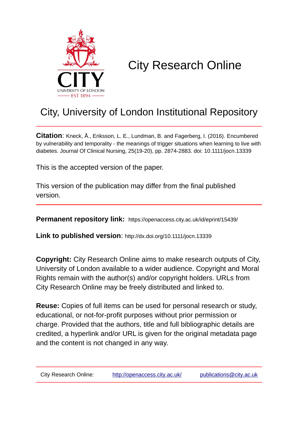

# City Research Online

## City, University of London Institutional Repository

**Citation**: Kneck, Å., Eriksson, L. E., Lundman, B. and Fagerberg, I. (2016). Encumbered by vulnerability and temporality - the meanings of trigger situations when learning to live with diabetes. Journal Of Clinical Nursing, 25(19-20), pp. 2874-2883. doi: 10.1111/jocn.13339

This is the accepted version of the paper.

This version of the publication may differ from the final published version.

**Permanent repository link:** https://openaccess.city.ac.uk/id/eprint/15439/

**Link to published version**: http://dx.doi.org/10.1111/jocn.13339

**Copyright:** City Research Online aims to make research outputs of City, University of London available to a wider audience. Copyright and Moral Rights remain with the author(s) and/or copyright holders. URLs from City Research Online may be freely distributed and linked to.

**Reuse:** Copies of full items can be used for personal research or study, educational, or not-for-profit purposes without prior permission or charge. Provided that the authors, title and full bibliographic details are credited, a hyperlink and/or URL is given for the original metadata page and the content is not changed in any way.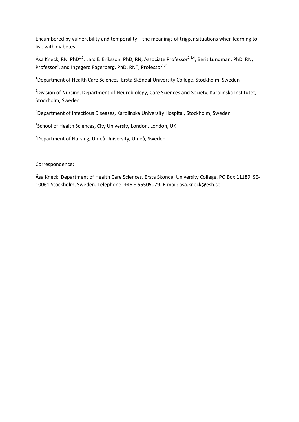Encumbered by vulnerability and temporality – the meanings of trigger situations when learning to live with diabetes

Åsa Kneck, RN, PhD<sup>1,2</sup>, Lars E. Eriksson, PhD, RN, Associate Professor<sup>2,3,4</sup>, Berit Lundman, PhD, RN, Professor<sup>5</sup>, and Ingegerd Fagerberg, PhD, RNT, Professor<sup>1,2</sup>

<sup>1</sup>Department of Health Care Sciences, Ersta Sköndal University College, Stockholm, Sweden

<sup>2</sup>Division of Nursing, Department of Neurobiology, Care Sciences and Society, Karolinska Institutet, Stockholm, Sweden

<sup>3</sup>Department of Infectious Diseases, Karolinska University Hospital, Stockholm, Sweden

4 School of Health Sciences, City University London, London, UK

<sup>5</sup>Department of Nursing, Umeå University, Umeå, Sweden

Correspondence:

Åsa Kneck, Department of Health Care Sciences, Ersta Sköndal University College, PO Box 11189, SE-10061 Stockholm, Sweden. Telephone: +46 8 55505079. E-mail: asa.kneck@esh.se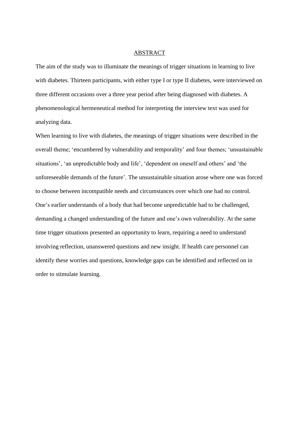#### ABSTRACT

The aim of the study was to illuminate the meanings of trigger situations in learning to live with diabetes. Thirteen participants, with either type I or type II diabetes, were interviewed on three different occasions over a three year period after being diagnosed with diabetes. A phenomenological hermeneutical method for interpreting the interview text was used for analyzing data.

When learning to live with diabetes, the meanings of trigger situations were described in the overall theme; 'encumbered by vulnerability and temporality' and four themes; 'unsustainable situations', 'an unpredictable body and life', 'dependent on oneself and others' and 'the unforeseeable demands of the future'. The unsustainable situation arose where one was forced to choose between incompatible needs and circumstances over which one had no control. One's earlier understands of a body that had become unpredictable had to be challenged, demanding a changed understanding of the future and one's own vulnerability. At the same time trigger situations presented an opportunity to learn, requiring a need to understand involving reflection, unanswered questions and new insight. If health care personnel can identify these worries and questions, knowledge gaps can be identified and reflected on in order to stimulate learning.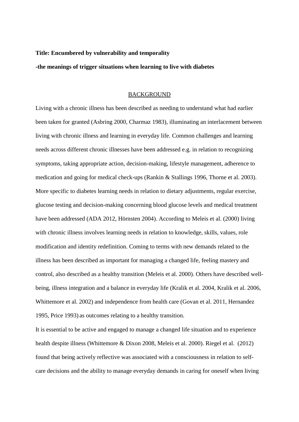#### **Title: Encumbered by vulnerability and temporality**

**-the meanings of trigger situations when learning to live with diabetes** 

#### BACKGROUND

Living with a chronic illness has been described as needing to understand what had earlier been taken for granted (Asbring 2000, Charmaz 1983), illuminating an interlacement between living with chronic illness and learning in everyday life. Common challenges and learning needs across different chronic illnesses have been addressed e.g. in relation to recognizing symptoms, taking appropriate action, decision-making, lifestyle management, adherence to medication and going for medical check-ups (Rankin & Stallings 1996, Thorne et al. 2003). More specific to diabetes learning needs in relation to dietary adjustments, regular exercise, glucose testing and decision-making concerning blood glucose levels and medical treatment have been addressed (ADA 2012, Hörnsten 2004). According to Meleis et al. (2000) living with chronic illness involves learning needs in relation to knowledge, skills, values, role modification and identity redefinition. Coming to terms with new demands related to the illness has been described as important for managing a changed life, feeling mastery and control, also described as a healthy transition (Meleis et al. 2000). Others have described wellbeing, illness integration and a balance in everyday life (Kralik et al. 2004, Kralik et al. 2006, Whittemore et al. 2002) and independence from health care (Govan et al. 2011, Hernandez 1995, Price 1993) as outcomes relating to a healthy transition.

It is essential to be active and engaged to manage a changed life situation and to experience health despite illness (Whittemore & Dixon 2008, Meleis et al. 2000). Riegel et al. (2012) found that being actively reflective was associated with a consciousness in relation to selfcare decisions and the ability to manage everyday demands in caring for oneself when living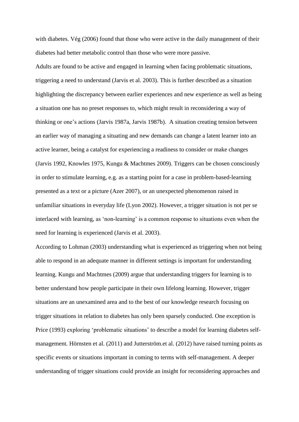with diabetes. Vég (2006) found that those who were active in the daily management of their diabetes had better metabolic control than those who were more passive.

Adults are found to be active and engaged in learning when facing problematic situations, triggering a need to understand (Jarvis et al. 2003). This is further described as a situation highlighting the discrepancy between earlier experiences and new experience as well as being a situation one has no preset responses to, which might result in reconsidering a way of thinking or one's actions (Jarvis 1987a, Jarvis 1987b). A situation creating tension between an earlier way of managing a situating and new demands can change a latent learner into an active learner, being a catalyst for experiencing a readiness to consider or make changes (Jarvis 1992, Knowles 1975, Kungu & Machtmes 2009). Triggers can be chosen consciously in order to stimulate learning, e.g. as a starting point for a case in problem-based-learning presented as a text or a picture (Azer 2007), or an unexpected phenomenon raised in unfamiliar situations in everyday life (Lyon 2002). However, a trigger situation is not per se interlaced with learning, as 'non-learning' is a common response to situations even when the need for learning is experienced (Jarvis et al. 2003).

According to Lohman (2003) understanding what is experienced as triggering when not being able to respond in an adequate manner in different settings is important for understanding learning. Kungu and Machtmes (2009) argue that understanding triggers for learning is to better understand how people participate in their own lifelong learning. However, trigger situations are an unexamined area and to the best of our knowledge research focusing on trigger situations in relation to diabetes has only been sparsely conducted. One exception is Price (1993) exploring 'problematic situations' to describe a model for learning diabetes selfmanagement. Hörnsten et al. (2011) and Jutterström.et al. (2012) have raised turning points as specific events or situations important in coming to terms with self-management. A deeper understanding of trigger situations could provide an insight for reconsidering approaches and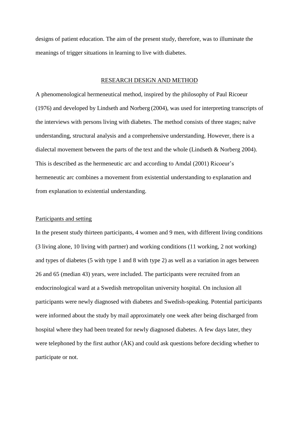designs of patient education. The aim of the present study, therefore, was to illuminate the meanings of trigger situations in learning to live with diabetes.

#### RESEARCH DESIGN AND METHOD

A phenomenological hermeneutical method, inspired by the philosophy of Paul Ricoeur (1976) and developed by Lindseth and Norberg (2004), was used for interpreting transcripts of the interviews with persons living with diabetes. The method consists of three stages; naïve understanding, structural analysis and a comprehensive understanding. However, there is a dialectal movement between the parts of the text and the whole (Lindseth & Norberg 2004). This is described as the hermeneutic arc and according to Amdal (2001) Ricoeur's hermeneutic arc combines a movement from existential understanding to explanation and from explanation to existential understanding.

#### Participants and setting

In the present study thirteen participants, 4 women and 9 men, with different living conditions (3 living alone, 10 living with partner) and working conditions (11 working, 2 not working) and types of diabetes (5 with type 1 and 8 with type 2) as well as a variation in ages between 26 and 65 (median 43) years, were included. The participants were recruited from an endocrinological ward at a Swedish metropolitan university hospital. On inclusion all participants were newly diagnosed with diabetes and Swedish-speaking. Potential participants were informed about the study by mail approximately one week after being discharged from hospital where they had been treated for newly diagnosed diabetes. A few days later, they were telephoned by the first author  $(\AA K)$  and could ask questions before deciding whether to participate or not.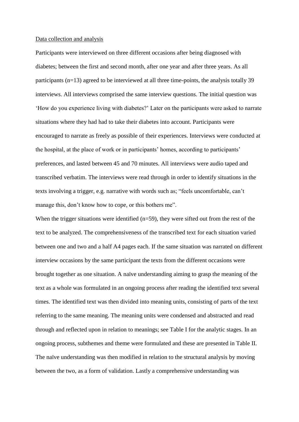#### Data collection and analysis

Participants were interviewed on three different occasions after being diagnosed with diabetes; between the first and second month, after one year and after three years. As all participants (n=13) agreed to be interviewed at all three time-points, the analysis totally 39 interviews. All interviews comprised the same interview questions. The initial question was 'How do you experience living with diabetes?' Later on the participants were asked to narrate situations where they had had to take their diabetes into account. Participants were encouraged to narrate as freely as possible of their experiences. Interviews were conducted at the hospital, at the place of work or in participants' homes, according to participants' preferences, and lasted between 45 and 70 minutes. All interviews were audio taped and transcribed verbatim. The interviews were read through in order to identify situations in the texts involving a trigger, e.g. narrative with words such as; "feels uncomfortable, can't manage this, don't know how to cope, or this bothers me".

When the trigger situations were identified  $(n=59)$ , they were sifted out from the rest of the text to be analyzed. The comprehensiveness of the transcribed text for each situation varied between one and two and a half A4 pages each. If the same situation was narrated on different interview occasions by the same participant the texts from the different occasions were brought together as one situation. A naïve understanding aiming to grasp the meaning of the text as a whole was formulated in an ongoing process after reading the identified text several times. The identified text was then divided into meaning units, consisting of parts of the text referring to the same meaning. The meaning units were condensed and abstracted and read through and reflected upon in relation to meanings; see Table I for the analytic stages. In an ongoing process, subthemes and theme were formulated and these are presented in Table II. The naïve understanding was then modified in relation to the structural analysis by moving between the two, as a form of validation. Lastly a comprehensive understanding was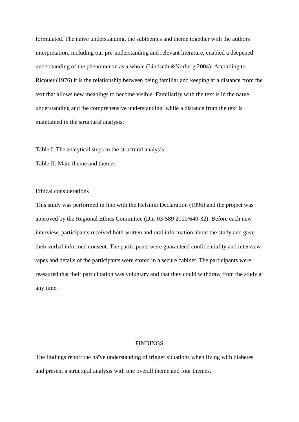formulated. The naïve understanding, the subthemes and theme together with the authors' interpretation, including our pre-understanding and relevant literature, enabled a deepened understanding of the phenomenon as a whole (Lindseth &Norberg 2004). According to Ricouer (1976) it is the relationship between being familiar and keeping at a distance from the text that allows new meanings to become visible. Familiarity with the text is in the naïve understanding and the comprehensive understanding, while a distance from the text is maintained in the structural analysis.

Table I: The analytical steps in the structural analysis

Table II: Main theme and themes

#### Ethical considerations

This study was performed in line with the Helsinki Declaration (1996) and the project was approved by the Regional Ethics Committee (Dnr 03-589 2010/640-32). Before each new interview, participants received both written and oral information about the study and gave their verbal informed consent. The participants were guaranteed confidentiality and interview tapes and details of the participants were stored in a secure cabinet. The participants were reassured that their participation was voluntary and that they could withdraw from the study at any time.

#### **FINDINGS**

The findings report the naïve understanding of trigger situations when living with diabetes and present a structural analysis with one overall theme and four themes.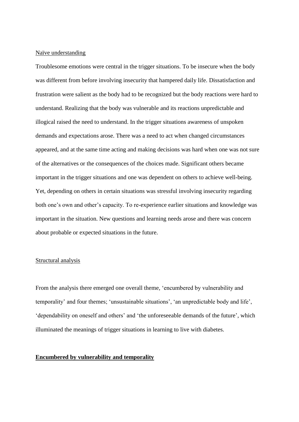#### Naïve understanding

Troublesome emotions were central in the trigger situations. To be insecure when the body was different from before involving insecurity that hampered daily life. Dissatisfaction and frustration were salient as the body had to be recognized but the body reactions were hard to understand. Realizing that the body was vulnerable and its reactions unpredictable and illogical raised the need to understand. In the trigger situations awareness of unspoken demands and expectations arose. There was a need to act when changed circumstances appeared, and at the same time acting and making decisions was hard when one was not sure of the alternatives or the consequences of the choices made. Significant others became important in the trigger situations and one was dependent on others to achieve well-being. Yet, depending on others in certain situations was stressful involving insecurity regarding both one's own and other's capacity. To re-experience earlier situations and knowledge was important in the situation. New questions and learning needs arose and there was concern about probable or expected situations in the future.

#### Structural analysis

From the analysis there emerged one overall theme, 'encumbered by vulnerability and temporality' and four themes; 'unsustainable situations', 'an unpredictable body and life', 'dependability on oneself and others' and 'the unforeseeable demands of the future', which illuminated the meanings of trigger situations in learning to live with diabetes.

#### **Encumbered by vulnerability and temporality**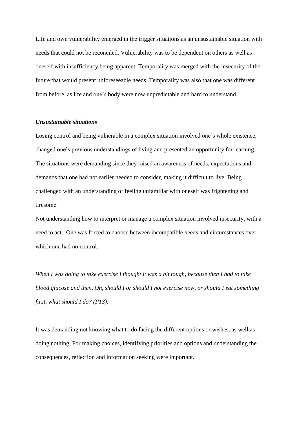Life and own vulnerability emerged in the trigger situations as an unsustainable situation with needs that could not be reconciled. Vulnerability was to be dependent on others as well as oneself with insufficiency being apparent. Temporality was merged with the insecurity of the future that would present unforeseeable needs. Temporality was also that one was different from before, as life and one's body were now unpredictable and hard to understand.

#### *Unsustainable situations*

Losing control and being vulnerable in a complex situation involved one's whole existence, changed one's previous understandings of living and presented an opportunity for learning. The situations were demanding since they raised an awareness of needs, expectations and demands that one had not earlier needed to consider, making it difficult to live. Being challenged with an understanding of feeling unfamiliar with oneself was frightening and tiresome.

Not understanding how to interpret or manage a complex situation involved insecurity, with a need to act. One was forced to choose between incompatible needs and circumstances over which one had no control.

*When I was going to take exercise I thought it was a bit tough, because then I had to take blood glucose and then, Oh, should I or should I not exercise now, or should I eat something first, what should I do? (P13).*

It was demanding not knowing what to do facing the different options or wishes, as well as doing nothing. For making choices, identifying priorities and options and understanding the consequences, reflection and information seeking were important.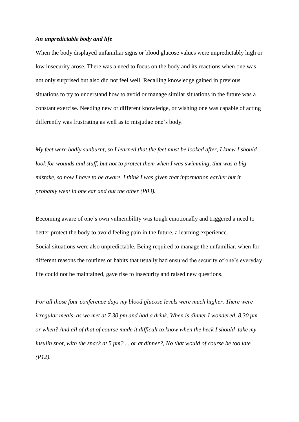#### *An unpredictable body and life*

When the body displayed unfamiliar signs or blood glucose values were unpredictably high or low insecurity arose. There was a need to focus on the body and its reactions when one was not only surprised but also did not feel well. Recalling knowledge gained in previous situations to try to understand how to avoid or manage similar situations in the future was a constant exercise. Needing new or different knowledge, or wishing one was capable of acting differently was frustrating as well as to misjudge one's body.

*My feet were badly sunburnt, so I learned that the feet must be looked after, I knew I should look for wounds and stuff, but not to protect them when I was swimming, that was a big mistake, so now I have to be aware. I think I was given that information earlier but it probably went in one ear and out the other (P03).*

Becoming aware of one's own vulnerability was tough emotionally and triggered a need to better protect the body to avoid feeling pain in the future, a learning experience. Social situations were also unpredictable. Being required to manage the unfamiliar, when for different reasons the routines or habits that usually had ensured the security of one's everyday life could not be maintained, gave rise to insecurity and raised new questions.

*For all those four conference days my blood glucose levels were much higher. There were irregular meals, as we met at 7.30 pm and had a drink. When is dinner I wondered, 8.30 pm or when? And all of that of course made it difficult to know when the heck I should take my insulin shot, with the snack at 5 pm? ... or at dinner?, No that would of course be too late (P12).*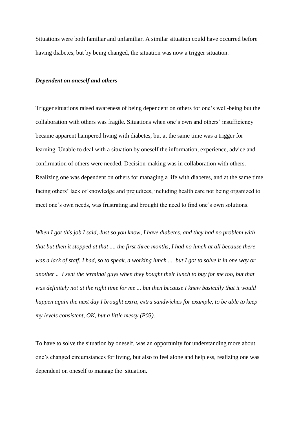Situations were both familiar and unfamiliar. A similar situation could have occurred before having diabetes, but by being changed, the situation was now a trigger situation.

#### *Dependent on oneself and others*

Trigger situations raised awareness of being dependent on others for one's well-being but the collaboration with others was fragile. Situations when one's own and others' insufficiency became apparent hampered living with diabetes, but at the same time was a trigger for learning. Unable to deal with a situation by oneself the information, experience, advice and confirmation of others were needed. Decision-making was in collaboration with others. Realizing one was dependent on others for managing a life with diabetes, and at the same time facing others' lack of knowledge and prejudices, including health care not being organized to meet one's own needs, was frustrating and brought the need to find one's own solutions.

*When I got this job I said, Just so you know, I have diabetes, and they had no problem with that but then it stopped at that .... the first three months, I had no lunch at all because there was a lack of staff. I had, so to speak, a working lunch .... but I got to solve it in one way or another .. I sent the terminal guys when they bought their lunch to buy for me too, but that was definitely not at the right time for me ... but then because I knew basically that it would happen again the next day I brought extra, extra sandwiches for example, to be able to keep my levels consistent, OK, but a little messy (P03).*

To have to solve the situation by oneself, was an opportunity for understanding more about one's changed circumstances for living, but also to feel alone and helpless, realizing one was dependent on oneself to manage the situation.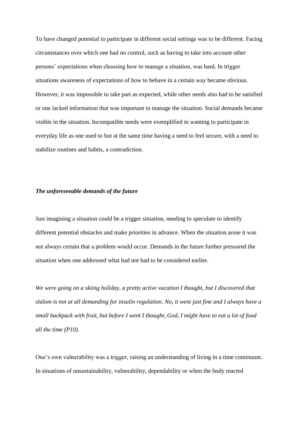To have changed potential to participate in different social settings was to be different. Facing circumstances over which one had no control, such as having to take into account other persons' expectations when choosing how to manage a situation, was hard. In trigger situations awareness of expectations of how to behave in a certain way became obvious. However, it was impossible to take part as expected, while other needs also had to be satisfied or one lacked information that was important to manage the situation. Social demands became visible in the situation. Incompatible needs were exemplified in wanting to participate in everyday life as one used to but at the same time having a need to feel secure, with a need to stabilize routines and habits, a contradiction.

#### *The unforeseeable demands of the future*

Just imagining a situation could be a trigger situation, needing to speculate to identify different potential obstacles and make priorities in advance. When the situation arose it was not always certain that a problem would occur. Demands in the future further pressured the situation when one addressed what had not had to be considered earlier.

*We were going on a skiing holiday, a pretty active vacation I thought, but I discovered that slalom is not at all demanding for insulin regulation. No, it went just fine and I always have a small backpack with fruit, but before I went I thought, God, I might have to eat a lot of food all the time (P10).*

One's own vulnerability was a trigger, raising an understanding of living in a time continuum. In situations of unsustainability, vulnerability, dependability or when the body reacted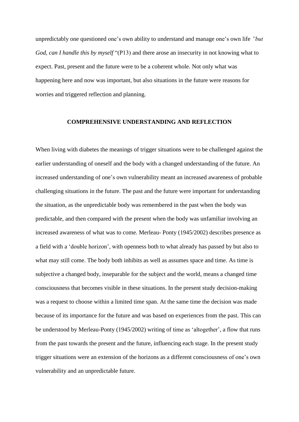unpredictably one questioned one's own ability to understand and manage one's own life *"but God, can I handle this by myself* "(P13) and there arose an insecurity in not knowing what to expect. Past, present and the future were to be a coherent whole. Not only what was happening here and now was important, but also situations in the future were reasons for worries and triggered reflection and planning.

#### **COMPREHENSIVE UNDERSTANDING AND REFLECTION**

When living with diabetes the meanings of trigger situations were to be challenged against the earlier understanding of oneself and the body with a changed understanding of the future. An increased understanding of one's own vulnerability meant an increased awareness of probable challenging situations in the future. The past and the future were important for understanding the situation, as the unpredictable body was remembered in the past when the body was predictable, and then compared with the present when the body was unfamiliar involving an increased awareness of what was to come. Merleau- Ponty (1945/2002) describes presence as a field with a 'double horizon', with openness both to what already has passed by but also to what may still come. The body both inhibits as well as assumes space and time. As time is subjective a changed body, inseparable for the subject and the world, means a changed time consciousness that becomes visible in these situations. In the present study decision-making was a request to choose within a limited time span. At the same time the decision was made because of its importance for the future and was based on experiences from the past. This can be understood by Merleau-Ponty (1945/2002) writing of time as 'altogether', a flow that runs from the past towards the present and the future, influencing each stage. In the present study trigger situations were an extension of the horizons as a different consciousness of one's own vulnerability and an unpredictable future.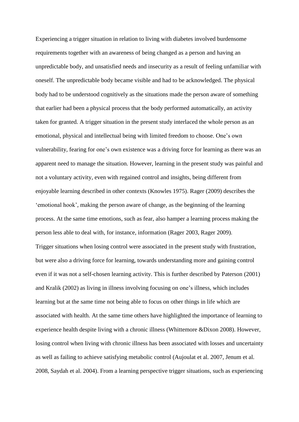Experiencing a trigger situation in relation to living with diabetes involved burdensome requirements together with an awareness of being changed as a person and having an unpredictable body, and unsatisfied needs and insecurity as a result of feeling unfamiliar with oneself. The unpredictable body became visible and had to be acknowledged. The physical body had to be understood cognitively as the situations made the person aware of something that earlier had been a physical process that the body performed automatically, an activity taken for granted. A trigger situation in the present study interlaced the whole person as an emotional, physical and intellectual being with limited freedom to choose. One's own vulnerability, fearing for one's own existence was a driving force for learning as there was an apparent need to manage the situation. However, learning in the present study was painful and not a voluntary activity, even with regained control and insights, being different from enjoyable learning described in other contexts (Knowles 1975). Rager (2009) describes the 'emotional hook', making the person aware of change, as the beginning of the learning process. At the same time emotions, such as fear, also hamper a learning process making the person less able to deal with, for instance, information (Rager 2003, Rager 2009). Trigger situations when losing control were associated in the present study with frustration, but were also a driving force for learning, towards understanding more and gaining control even if it was not a self-chosen learning activity. This is further described by Paterson (2001) and Kralik (2002) as living in illness involving focusing on one's illness, which includes learning but at the same time not being able to focus on other things in life which are associated with health. At the same time others have highlighted the importance of learning to experience health despite living with a chronic illness (Whittemore &Dixon 2008). However, losing control when living with chronic illness has been associated with losses and uncertainty as well as failing to achieve satisfying metabolic control (Aujoulat et al. 2007, Jenum et al. 2008, Saydah et al. 2004). From a learning perspective trigger situations, such as experiencing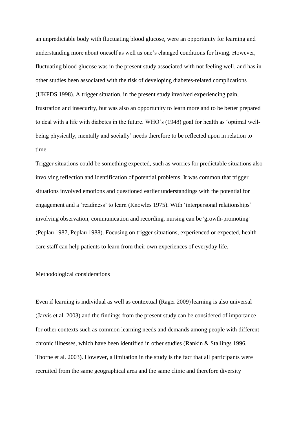an unpredictable body with fluctuating blood glucose, were an opportunity for learning and understanding more about oneself as well as one's changed conditions for living. However, fluctuating blood glucose was in the present study associated with not feeling well, and has in other studies been associated with the risk of developing diabetes-related complications (UKPDS 1998). A trigger situation, in the present study involved experiencing pain, frustration and insecurity, but was also an opportunity to learn more and to be better prepared to deal with a life with diabetes in the future. WHO's (1948) goal for health as 'optimal wellbeing physically, mentally and socially' needs therefore to be reflected upon in relation to time.

Trigger situations could be something expected, such as worries for predictable situations also involving reflection and identification of potential problems. It was common that trigger situations involved emotions and questioned earlier understandings with the potential for engagement and a 'readiness' to learn (Knowles 1975). With 'interpersonal relationships' involving observation, communication and recording, nursing can be 'growth-promoting' (Peplau 1987, Peplau 1988). Focusing on trigger situations, experienced or expected, health care staff can help patients to learn from their own experiences of everyday life.

#### Methodological considerations

Even if learning is individual as well as contextual (Rager 2009) learning is also universal (Jarvis et al. 2003) and the findings from the present study can be considered of importance for other contexts such as common learning needs and demands among people with different chronic illnesses, which have been identified in other studies (Rankin & Stallings 1996, Thorne et al. 2003). However, a limitation in the study is the fact that all participants were recruited from the same geographical area and the same clinic and therefore diversity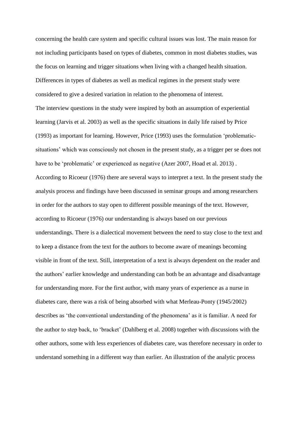concerning the health care system and specific cultural issues was lost. The main reason for not including participants based on types of diabetes, common in most diabetes studies, was the focus on learning and trigger situations when living with a changed health situation. Differences in types of diabetes as well as medical regimes in the present study were considered to give a desired variation in relation to the phenomena of interest. The interview questions in the study were inspired by both an assumption of experiential learning (Jarvis et al. 2003) as well as the specific situations in daily life raised by Price (1993) as important for learning. However, Price (1993) uses the formulation 'problematicsituations' which was consciously not chosen in the present study, as a trigger per se does not have to be 'problematic' or experienced as negative (Azer 2007, Hoad et al. 2013) . According to Ricoeur (1976) there are several ways to interpret a text. In the present study the analysis process and findings have been discussed in seminar groups and among researchers in order for the authors to stay open to different possible meanings of the text. However, according to Ricoeur (1976) our understanding is always based on our previous understandings. There is a dialectical movement between the need to stay close to the text and to keep a distance from the text for the authors to become aware of meanings becoming visible in front of the text. Still, interpretation of a text is always dependent on the reader and the authors' earlier knowledge and understanding can both be an advantage and disadvantage for understanding more. For the first author, with many years of experience as a nurse in diabetes care, there was a risk of being absorbed with what Merleau-Ponty (1945/2002) describes as 'the conventional understanding of the phenomena' as it is familiar. A need for the author to step back, to 'bracket' (Dahlberg et al. 2008) together with discussions with the other authors, some with less experiences of diabetes care, was therefore necessary in order to understand something in a different way than earlier. An illustration of the analytic process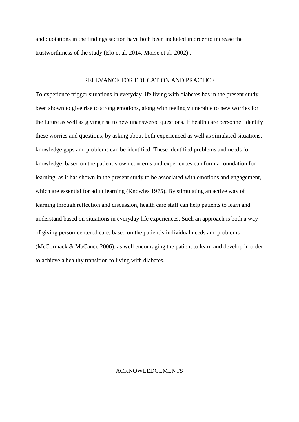and quotations in the findings section have both been included in order to increase the trustworthiness of the study (Elo et al. 2014, Morse et al. 2002) .

#### RELEVANCE FOR EDUCATION AND PRACTICE

To experience trigger situations in everyday life living with diabetes has in the present study been shown to give rise to strong emotions, along with feeling vulnerable to new worries for the future as well as giving rise to new unanswered questions. If health care personnel identify these worries and questions, by asking about both experienced as well as simulated situations, knowledge gaps and problems can be identified. These identified problems and needs for knowledge, based on the patient's own concerns and experiences can form a foundation for learning, as it has shown in the present study to be associated with emotions and engagement, which are essential for adult learning (Knowles 1975). By stimulating an active way of learning through reflection and discussion, health care staff can help patients to learn and understand based on situations in everyday life experiences. Such an approach is both a way of giving person-centered care, based on the patient's individual needs and problems (McCormack & MaCance 2006), as well encouraging the patient to learn and develop in order to achieve a healthy transition to living with diabetes.

#### ACKNOWLEDGEMENTS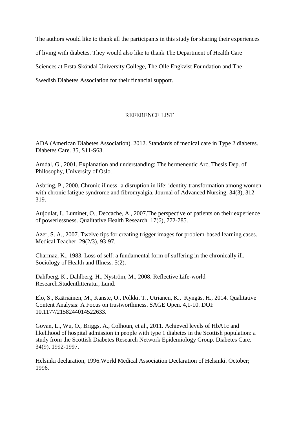The authors would like to thank all the participants in this study for sharing their experiences of living with diabetes. They would also like to thank The Department of Health Care Sciences at Ersta Sköndal University College, The Olle Engkvist Foundation and The Swedish Diabetes Association for their financial support.

## REFERENCE LIST

ADA (American Diabetes Association). 2012. Standards of medical care in Type 2 diabetes. Diabetes Care. 35, S11-S63.

Amdal, G., 2001. Explanation and understanding: The hermeneutic Arc, Thesis Dep. of Philosophy, University of Oslo.

Asbring, P., 2000. Chronic illness- a disruption in life: identity-transformation among women with chronic fatigue syndrome and fibromyalgia. Journal of Advanced Nursing. 34(3), 312-319.

Aujoulat, I., Luminet, O., Deccache, A., 2007.The perspective of patients on their experience of powerlessness. Qualitative Health Research. 17(6), 772-785.

Azer, S. A., 2007. Twelve tips for creating trigger images for problem-based learning cases. Medical Teacher. 29(2/3), 93-97.

Charmaz, K., 1983. Loss of self: a fundamental form of suffering in the chronically ill. Sociology of Health and Illness. 5(2).

Dahlberg, K., Dahlberg, H., Nyström, M., 2008. Reflective Life-world Research.Studentlitteratur, Lund.

Elo, S., Kääriäinen, M., Kanste, O., Pölkki, T., Utrianen, K., Kyngäs, H., 2014. Qualitative Content Analysis: A Focus on trustworthiness. SAGE Open. 4,1-10. DOI: 10.1177/2158244014522633.

Govan, L., Wu, O., Briggs, A., Colhoun, et al., 2011. Achieved levels of HbA1c and likelihood of hospital admission in people with type 1 diabetes in the Scottish population: a study from the Scottish Diabetes Research Network Epidemiology Group. Diabetes Care. 34(9), 1992-1997.

Helsinki declaration, 1996.World Medical Association Declaration of Helsinki. October; 1996.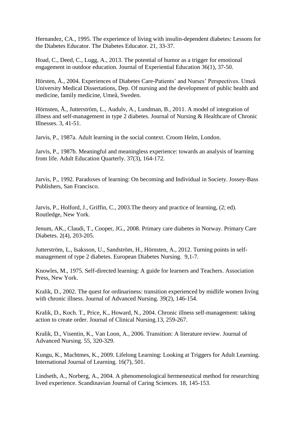Hernandez, CA., 1995. The experience of living with insulin-dependent diabetes: Lessons for the Diabetes Educator. The Diabetes Educator. 21, 33-37.

Hoad, C., Deed, C., Lugg, A., 2013. The potential of humor as a trigger for emotional engagement in outdoor education. Journal of Experiential Education 36(1), 37-50.

Hörsten, Å., 2004. Experiences of Diabetes Care-Patients' and Nurses' Perspectives. Umeå University Medical Dissertations, Dep. Of nursing and the development of public health and medicine, family medicine, Umeå, Sweden.

Hörnsten, Å., Jutterström, L., Audulv, A., Lundman, B., 2011. A model of integration of illness and self-management in type 2 diabetes. Journal of Nursing & Healthcare of Chronic Illnesses. 3, 41-51.

Jarvis, P., 1987a. Adult learning in the social context. Croom Helm, London.

Jarvis, P., 1987b. Meaningful and meaningless experience: towards an analysis of learning from life. Adult Education Quarterly. 37(3), 164-172.

Jarvis, P., 1992. Paradoxes of learning: On becoming and Individual in Society. Jossey-Bass Publishers, San Francisco.

Jarvis, P., Holford, J., Griffin, C., 2003.The theory and practice of learning, (2; ed). Routledge, New York.

Jenum, AK., Claudi, T., Cooper, JG., 2008. Primary care diabetes in Norway. Primary Care Diabetes. 2(4), 203-205.

Jutterström, L., Isaksson, U., Sandström, H., Hörnsten, A., 2012. Turning points in selfmanagement of type 2 diabetes. European Diabetes Nursing. 9,1-7.

Knowles, M., 1975. Self-directed learning: A guide for learners and Teachers. Association Press, New York.

Kralik, D., 2002. The quest for ordinariness: transition experienced by midlife women living with chronic illness. Journal of Advanced Nursing. 39(2), 146-154.

Kralik, D., Koch. T., Price, K., Howard, N., 2004. Chronic illness self-management: taking action to create order. Journal of Clinical Nursing.13, 259-267.

Kralik, D., Visentin, K., Van Loon, A., 2006. Transition: A literature review. Journal of Advanced Nursing. 55, 320-329.

Kungu, K., Machtmes, K., 2009. Lifelong Learning: Looking at Triggers for Adult Learning. International Journal of Learning. 16(7), 501.

Lindseth, A., Norberg, A., 2004. A phenomenological hermeneutical method for researching lived experience. Scandinavian Journal of Caring Sciences. 18, 145-153.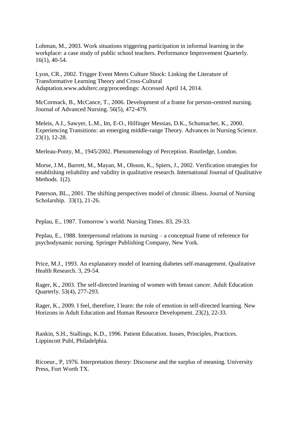Lohman, M., 2003. Work situations triggering participation in informal learning in the workplace: a case study of public school teachers. Performance Improvement Quarterly. 16(1), 40-54.

Lyon, CR., 2002. Trigger Event Meets Culture Shock: Linking the Literature of Transformative Learning Theory and Cross-Cultural Adaptation.www.adulterc.org/proceedings: Accessed April 14, 2014.

McCormack, B., McCance, T., 2006. Development of a frame for person-centred nursing. Journal of Advanced Nursing. 56(5), 472-479.

Meleis, A.I., Sawyer, L.M., Im, E-O., Hilfinger Messias, D.K., Schumacher, K., 2000. Experiencing Transitions: an emerging middle-range Theory. Advances in Nursing Science. 23(1), 12-28.

Merleau-Ponty, M., 1945/2002. Phenomenology of Perception. Routledge, London.

Morse, J.M., Barrett, M., Mayan, M., Olsson, K., Spiers, J., 2002. Verification strategies for establishing reliability and validity in qualitative research. International Journal of Qualitative Methods. 1(2).

Paterson, BL., 2001. The shifting perspectives model of chronic illness. Journal of Nursing Scholarship. 33(1), 21-26.

Peplau, E., 1987. Tomorrow´s world. Nursing Times. 83, 29-33.

Peplau, E., 1988. Interpersonal relations in nursing – a conceptual frame of reference for psychodynamic nursing. Springer Publishing Company, New York.

Price, M.J., 1993. An explanatory model of learning diabetes self-management. Qualitative Health Research. 3, 29-54.

Rager, K., 2003. The self-directed learning of women with breast cancer. Adult Education Quarterly. 53(4), 277-293.

Rager, K., 2009. I feel, therefore, I learn: the role of emotion in self-directed learning. New Horizons in Adult Education and Human Resource Development. 23(2), 22-33.

Rankin, S.H., Stallings, K.D., 1996. Patient Education. Issues, Principles, Practices. Lippincott Publ, Philadelphia.

Ricoeur., P, 1976. Interpretation theory: Discourse and the surplus of meaning. University Press, Fort Worth TX.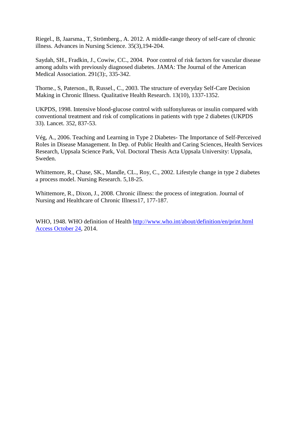Riegel., B, Jaarsma., T, Strömberg., A. 2012. A middle-range theory of self-care of chronic illness. Advances in Nursing Science. 35(3),194-204.

Saydah, SH., Fradkin, J., Cowiw, CC., 2004. Poor control of risk factors for vascular disease among adults with previously diagnosed diabetes. JAMA: The Journal of the American Medical Association. 291(3):, 335-342.

Thorne., S, Paterson., B, Russel., C., 2003. The structure of everyday Self-Care Decision Making in Chronic Illness. Qualitative Health Research. 13(10), 1337-1352.

UKPDS, 1998. Intensive blood-glucose control with sulfonylureas or insulin compared with conventional treatment and risk of complications in patients with type 2 diabetes (UKPDS 33). Lancet. 352, 837-53.

Vég, A., 2006. Teaching and Learning in Type 2 Diabetes- The Importance of Self-Perceived Roles in Disease Management. In Dep. of Public Health and Caring Sciences, Health Services Research, Uppsala Science Park, Vol. Doctoral Thesis Acta Uppsala University: Uppsala, Sweden.

Whittemore, R., Chase, SK., Mandle, CL., Roy, C., 2002. Lifestyle change in type 2 diabetes a process model. Nursing Research. 5,18-25.

Whittemore, R., Dixon, J., 2008. Chronic illness: the process of integration. Journal of Nursing and Healthcare of Chronic Illness17, 177-187.

WHO, 1948. WHO definition of Health http://www.who.int/about/definition/en/print.html [Access October 24,](http://www.who.int/about/definition/en/print.html%20Access%20October%2024) 2014.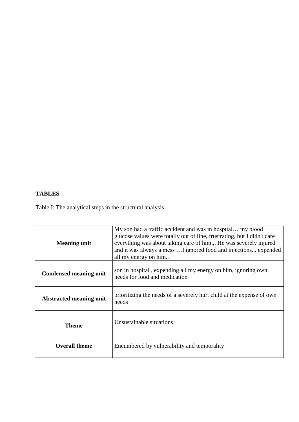## **TABLES**

Table I: The analytical steps in the structural analysis

| <b>Meaning unit</b>            | My son had a traffic accident and was in hospital my blood<br>glucose values were totally out of line, frustrating, but I didn't care<br>everything was about taking care of him.,. He was severely injured<br>and it was always a mess  I ignored food and injections expended<br>all my energy on him |
|--------------------------------|---------------------------------------------------------------------------------------------------------------------------------------------------------------------------------------------------------------------------------------------------------------------------------------------------------|
| <b>Condensed meaning unit</b>  | son in hospital, expending all my energy on him, ignoring own<br>needs for food and medication                                                                                                                                                                                                          |
| <b>Abstracted meaning unit</b> | prioritizing the needs of a severely hurt child at the expense of own<br>needs                                                                                                                                                                                                                          |
| <b>Theme</b>                   | Unsustainable situations                                                                                                                                                                                                                                                                                |
| <b>Overall theme</b>           | Encumbered by vulnerability and temporality                                                                                                                                                                                                                                                             |